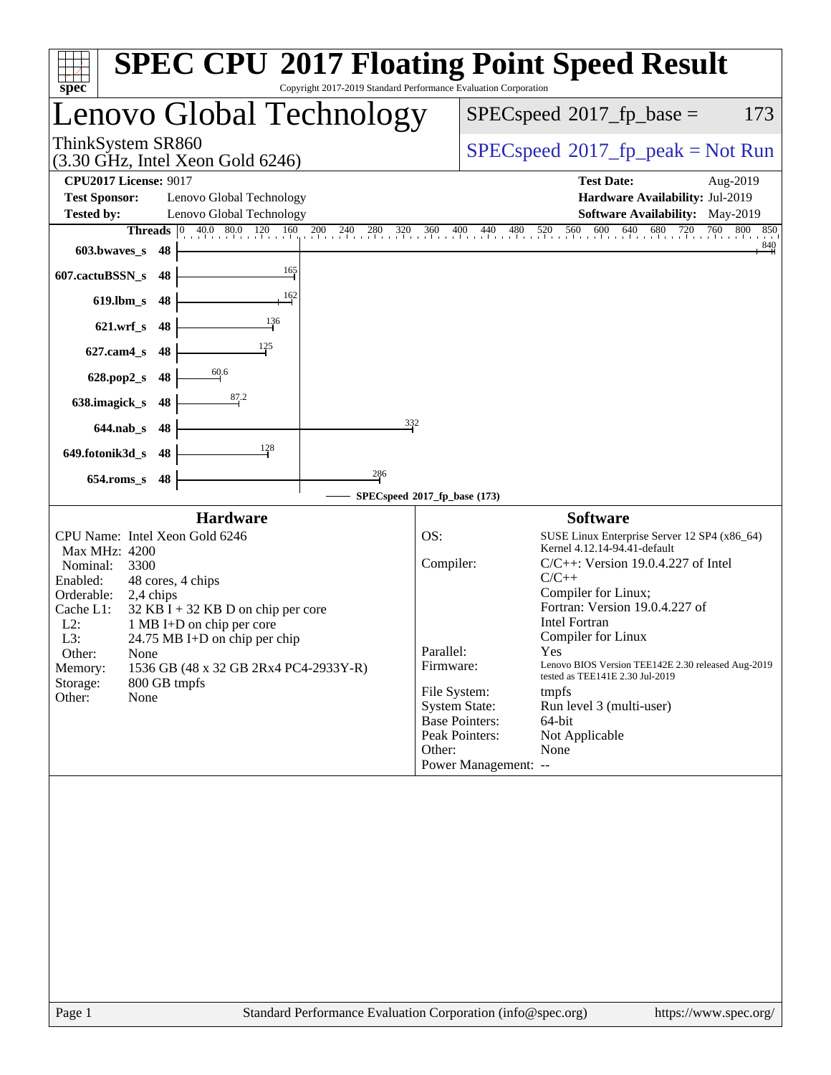| Copyright 2017-2019 Standard Performance Evaluation Corporation<br>spec <sup>®</sup>                                                                                                                                                                                                                                                                                                                                                                                                                                                                                  | <b>SPEC CPU®2017 Floating Point Speed Result</b>                                                                                                                                                                                                                                                                                                                                                                                                                                                                                                                                                |
|-----------------------------------------------------------------------------------------------------------------------------------------------------------------------------------------------------------------------------------------------------------------------------------------------------------------------------------------------------------------------------------------------------------------------------------------------------------------------------------------------------------------------------------------------------------------------|-------------------------------------------------------------------------------------------------------------------------------------------------------------------------------------------------------------------------------------------------------------------------------------------------------------------------------------------------------------------------------------------------------------------------------------------------------------------------------------------------------------------------------------------------------------------------------------------------|
| Lenovo Global Technology                                                                                                                                                                                                                                                                                                                                                                                                                                                                                                                                              | $SPEC speed^{\circ}2017$ _fp_base =<br>173                                                                                                                                                                                                                                                                                                                                                                                                                                                                                                                                                      |
| ThinkSystem SR860<br>(3.30 GHz, Intel Xeon Gold 6246)                                                                                                                                                                                                                                                                                                                                                                                                                                                                                                                 | $SPEC speed^{\circ}2017\_fp\_peak = Not Run$                                                                                                                                                                                                                                                                                                                                                                                                                                                                                                                                                    |
| <b>CPU2017 License: 9017</b><br><b>Test Sponsor:</b><br>Lenovo Global Technology<br><b>Tested by:</b><br>Lenovo Global Technology<br>$\begin{array}{ l c c c c c c c c } \hline 0 & 40.0 & 80.0 & 120 & 160 \ \hline \end{array}$<br><b>Threads</b><br>603.bwaves_s<br>-48<br>165<br>607.cactuBSSN_s<br>48<br>162<br>$619$ .lbm_s<br>48<br>136<br>$621.wrf$ <sub>S</sub><br>48<br>125<br>$627$ .cam $4_s$<br>48<br>60.6<br>628.pop2_s<br>48<br>87.2<br>638.imagick_s<br>48<br>332<br>48<br>$644$ .nab s<br>128<br>649.fotonik3d_s<br>48<br>286<br>$654$ .roms_s<br>48 | <b>Test Date:</b><br>Aug-2019<br>Hardware Availability: Jul-2019<br><b>Software Availability:</b> May-2019<br>$\frac{0}{1}$ , $\frac{200}{1}$ , $\frac{240}{1}$ , $\frac{280}{1}$ , $\frac{320}{1}$ , $\frac{360}{1}$ , $\frac{400}{1}$ , $\frac{440}{1}$ , $\frac{480}{1}$ , $\frac{520}{1}$ , $\frac{560}{1}$ , $\frac{600}{1}$ , $\frac{640}{1}$ , $\frac{680}{1}$ , $\frac{720}{1}$ , $\frac{760}{1}$<br>760<br>800<br>850<br>$\frac{840}{4}$                                                                                                                                               |
|                                                                                                                                                                                                                                                                                                                                                                                                                                                                                                                                                                       | SPECspeed®2017_fp_base (173)                                                                                                                                                                                                                                                                                                                                                                                                                                                                                                                                                                    |
| <b>Hardware</b><br>CPU Name: Intel Xeon Gold 6246<br>Max MHz: 4200<br>Nominal:<br>3300<br>Enabled:<br>48 cores, 4 chips<br>Orderable:<br>2,4 chips<br>Cache L1:<br>$32$ KB I + 32 KB D on chip per core<br>$L2$ :<br>1 MB I+D on chip per core<br>L3:<br>$24.75 \text{ MB I+D}$ on chip per chip<br>Other:<br>None<br>1536 GB (48 x 32 GB 2Rx4 PC4-2933Y-R)<br>Memory:<br>Storage:<br>800 GB tmpfs<br>None<br>Other:                                                                                                                                                  | <b>Software</b><br>OS:<br>SUSE Linux Enterprise Server 12 SP4 (x86_64)<br>Kernel 4.12.14-94.41-default<br>Compiler:<br>$C/C++$ : Version 19.0.4.227 of Intel<br>$C/C++$<br>Compiler for Linux;<br>Fortran: Version 19.0.4.227 of<br>Intel Fortran<br>Compiler for Linux<br>Parallel:<br>Yes<br>Firmware:<br>Lenovo BIOS Version TEE142E 2.30 released Aug-2019<br>tested as TEE141E 2.30 Jul-2019<br>File System:<br>tmpfs<br><b>System State:</b><br>Run level 3 (multi-user)<br><b>Base Pointers:</b><br>64-bit<br>Peak Pointers:<br>Not Applicable<br>Other:<br>None<br>Power Management: -- |
|                                                                                                                                                                                                                                                                                                                                                                                                                                                                                                                                                                       |                                                                                                                                                                                                                                                                                                                                                                                                                                                                                                                                                                                                 |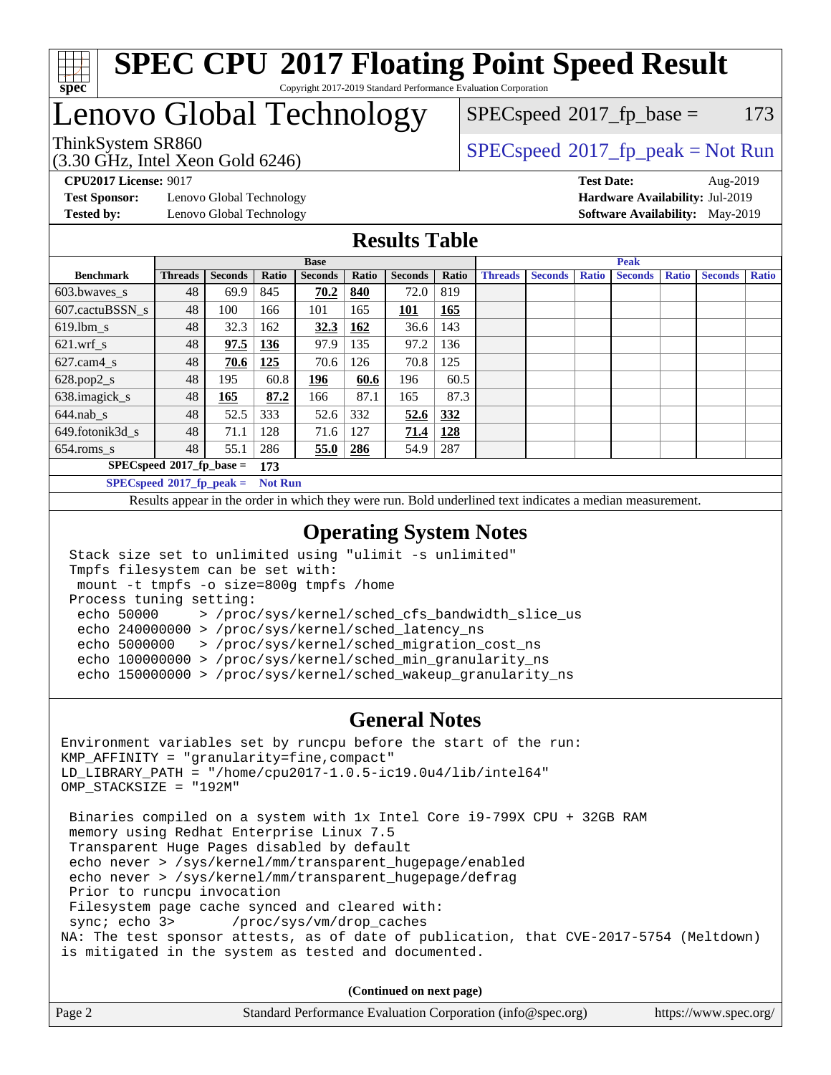

#### **[SPEC CPU](http://www.spec.org/auto/cpu2017/Docs/result-fields.html#SPECCPU2017FloatingPointSpeedResult)[2017 Floating Point Speed Result](http://www.spec.org/auto/cpu2017/Docs/result-fields.html#SPECCPU2017FloatingPointSpeedResult)** Copyright 2017-2019 Standard Performance Evaluation Corporation

# Lenovo Global Technology

(3.30 GHz, Intel Xeon Gold 6246)

 $SPECspeed^{\circledcirc}2017_fp\_base = 173$  $SPECspeed^{\circledcirc}2017_fp\_base = 173$ 

ThinkSystem SR860<br>  $(3.30 \text{ GHz}_{\text{1.1}})$  [SPECspeed](http://www.spec.org/auto/cpu2017/Docs/result-fields.html#SPECspeed2017fppeak)®[2017\\_fp\\_peak = N](http://www.spec.org/auto/cpu2017/Docs/result-fields.html#SPECspeed2017fppeak)ot Run

**[Test Sponsor:](http://www.spec.org/auto/cpu2017/Docs/result-fields.html#TestSponsor)** Lenovo Global Technology **[Hardware Availability:](http://www.spec.org/auto/cpu2017/Docs/result-fields.html#HardwareAvailability)** Jul-2019 **[Tested by:](http://www.spec.org/auto/cpu2017/Docs/result-fields.html#Testedby)** Lenovo Global Technology **[Software Availability:](http://www.spec.org/auto/cpu2017/Docs/result-fields.html#SoftwareAvailability)** May-2019

**[CPU2017 License:](http://www.spec.org/auto/cpu2017/Docs/result-fields.html#CPU2017License)** 9017 **[Test Date:](http://www.spec.org/auto/cpu2017/Docs/result-fields.html#TestDate)** Aug-2019

### **[Results Table](http://www.spec.org/auto/cpu2017/Docs/result-fields.html#ResultsTable)**

|                                    | <b>Base</b>    |                |                |                |       |                | <b>Peak</b> |                |                |              |                |              |                |              |
|------------------------------------|----------------|----------------|----------------|----------------|-------|----------------|-------------|----------------|----------------|--------------|----------------|--------------|----------------|--------------|
| <b>Benchmark</b>                   | <b>Threads</b> | <b>Seconds</b> | Ratio          | <b>Seconds</b> | Ratio | <b>Seconds</b> | Ratio       | <b>Threads</b> | <b>Seconds</b> | <b>Ratio</b> | <b>Seconds</b> | <b>Ratio</b> | <b>Seconds</b> | <b>Ratio</b> |
| 603.bwayes s                       | 48             | 69.9           | 845            | 70.2           | 840   | 72.0           | 819         |                |                |              |                |              |                |              |
| 607.cactuBSSN s                    | 48             | 100            | 166            | 101            | 165   | <b>101</b>     | 165         |                |                |              |                |              |                |              |
| $619.1$ bm s                       | 48             | 32.3           | 162            | 32.3           | 162   | 36.6           | 143         |                |                |              |                |              |                |              |
| $621.wrf$ s                        | 48             | 97.5           | 136            | 97.9           | 135   | 97.2           | 136         |                |                |              |                |              |                |              |
| $627$ .cam4 s                      | 48             | 70.6           | <u>125</u>     | 70.6           | 126   | 70.8           | 125         |                |                |              |                |              |                |              |
| $628.pop2_s$                       | 48             | 195            | 60.8           | 196            | 60.6  | 196            | 60.5        |                |                |              |                |              |                |              |
| 638.imagick_s                      | 48             | 165            | 87.2           | 166            | 87.1  | 165            | 87.3        |                |                |              |                |              |                |              |
| $644$ .nab s                       | 48             | 52.5           | 333            | 52.6           | 332   | 52.6           | <u>332</u>  |                |                |              |                |              |                |              |
| 649.fotonik3d s                    | 48             | 71.1           | 128            | 71.6           | 127   | 71.4           | 128         |                |                |              |                |              |                |              |
| $654$ .roms s                      | 48             | 55.1           | 286            | 55.0           | 286   | 54.9           | 287         |                |                |              |                |              |                |              |
| $SPECspeed*2017_fp\_base =$<br>173 |                |                |                |                |       |                |             |                |                |              |                |              |                |              |
| $SPECspeed^{\circ}2017$ fp peak =  |                |                | <b>Not Run</b> |                |       |                |             |                |                |              |                |              |                |              |

Results appear in the [order in which they were run.](http://www.spec.org/auto/cpu2017/Docs/result-fields.html#RunOrder) Bold underlined text [indicates a median measurement](http://www.spec.org/auto/cpu2017/Docs/result-fields.html#Median).

#### **[Operating System Notes](http://www.spec.org/auto/cpu2017/Docs/result-fields.html#OperatingSystemNotes)**

```
 Stack size set to unlimited using "ulimit -s unlimited"
 Tmpfs filesystem can be set with:
 mount -t tmpfs -o size=800g tmpfs /home
 Process tuning setting:
  echo 50000 > /proc/sys/kernel/sched_cfs_bandwidth_slice_us
  echo 240000000 > /proc/sys/kernel/sched_latency_ns
  echo 5000000 > /proc/sys/kernel/sched_migration_cost_ns
  echo 100000000 > /proc/sys/kernel/sched_min_granularity_ns
  echo 150000000 > /proc/sys/kernel/sched_wakeup_granularity_ns
```
#### **[General Notes](http://www.spec.org/auto/cpu2017/Docs/result-fields.html#GeneralNotes)**

Environment variables set by runcpu before the start of the run: KMP\_AFFINITY = "granularity=fine,compact" LD\_LIBRARY\_PATH = "/home/cpu2017-1.0.5-ic19.0u4/lib/intel64" OMP\_STACKSIZE = "192M" Binaries compiled on a system with 1x Intel Core i9-799X CPU + 32GB RAM memory using Redhat Enterprise Linux 7.5 Transparent Huge Pages disabled by default echo never > /sys/kernel/mm/transparent\_hugepage/enabled echo never > /sys/kernel/mm/transparent\_hugepage/defrag Prior to runcpu invocation Filesystem page cache synced and cleared with:<br>sync: echo 3> /proc/sys/vm/drop\_caches /proc/sys/vm/drop\_caches NA: The test sponsor attests, as of date of publication, that CVE-2017-5754 (Meltdown) is mitigated in the system as tested and documented.

**(Continued on next page)**

| Page 2 | Standard Performance Evaluation Corporation (info@spec.org) | https://www.spec.org/ |
|--------|-------------------------------------------------------------|-----------------------|
|--------|-------------------------------------------------------------|-----------------------|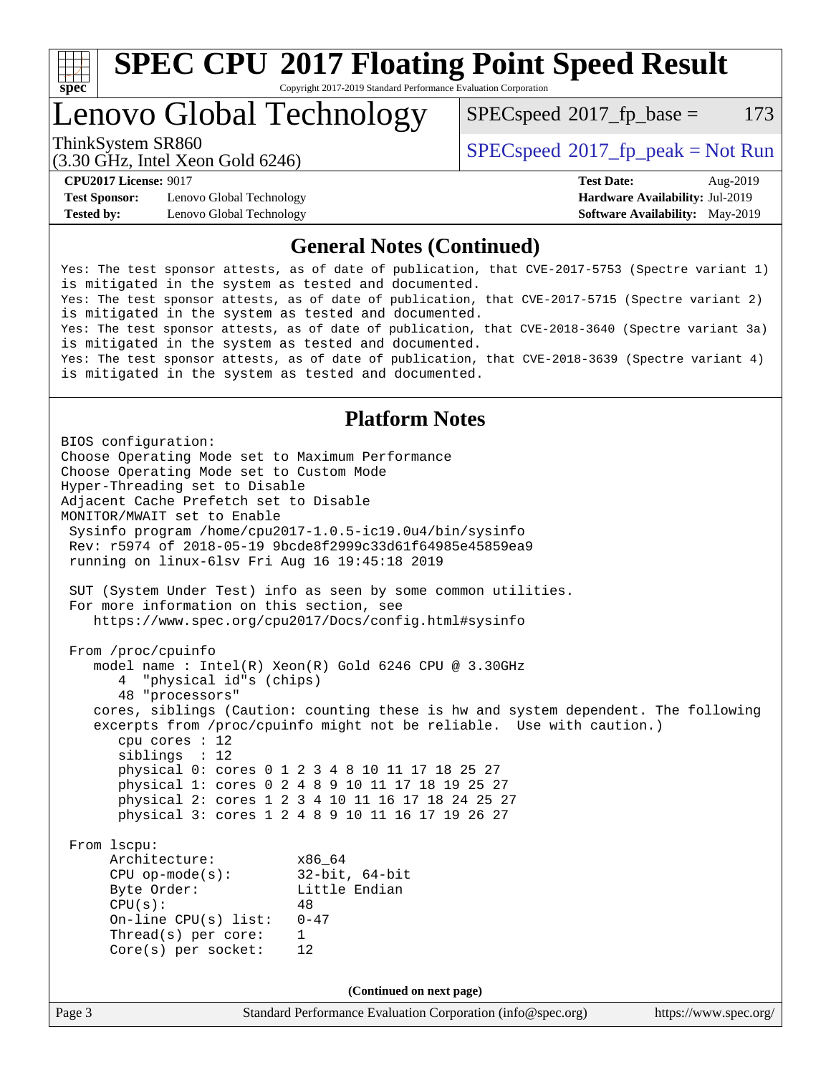

Copyright 2017-2019 Standard Performance Evaluation Corporation

Lenovo Global Technology

 $SPECspeed^{\circ}2017\_fp\_base = 173$  $SPECspeed^{\circ}2017\_fp\_base = 173$ 

(3.30 GHz, Intel Xeon Gold 6246)

ThinkSystem SR860<br>  $SPEC speed^{\circ}2017$  [p\_peak = Not Run

**[Test Sponsor:](http://www.spec.org/auto/cpu2017/Docs/result-fields.html#TestSponsor)** Lenovo Global Technology **[Hardware Availability:](http://www.spec.org/auto/cpu2017/Docs/result-fields.html#HardwareAvailability)** Jul-2019 **[Tested by:](http://www.spec.org/auto/cpu2017/Docs/result-fields.html#Testedby)** Lenovo Global Technology **[Software Availability:](http://www.spec.org/auto/cpu2017/Docs/result-fields.html#SoftwareAvailability)** May-2019

**[CPU2017 License:](http://www.spec.org/auto/cpu2017/Docs/result-fields.html#CPU2017License)** 9017 **[Test Date:](http://www.spec.org/auto/cpu2017/Docs/result-fields.html#TestDate)** Aug-2019

#### **[General Notes \(Continued\)](http://www.spec.org/auto/cpu2017/Docs/result-fields.html#GeneralNotes)**

Yes: The test sponsor attests, as of date of publication, that CVE-2017-5753 (Spectre variant 1) is mitigated in the system as tested and documented. Yes: The test sponsor attests, as of date of publication, that CVE-2017-5715 (Spectre variant 2) is mitigated in the system as tested and documented. Yes: The test sponsor attests, as of date of publication, that CVE-2018-3640 (Spectre variant 3a) is mitigated in the system as tested and documented. Yes: The test sponsor attests, as of date of publication, that CVE-2018-3639 (Spectre variant 4) is mitigated in the system as tested and documented.

### **[Platform Notes](http://www.spec.org/auto/cpu2017/Docs/result-fields.html#PlatformNotes)**

Page 3 Standard Performance Evaluation Corporation [\(info@spec.org\)](mailto:info@spec.org) <https://www.spec.org/> BIOS configuration: Choose Operating Mode set to Maximum Performance Choose Operating Mode set to Custom Mode Hyper-Threading set to Disable Adjacent Cache Prefetch set to Disable MONITOR/MWAIT set to Enable Sysinfo program /home/cpu2017-1.0.5-ic19.0u4/bin/sysinfo Rev: r5974 of 2018-05-19 9bcde8f2999c33d61f64985e45859ea9 running on linux-6lsv Fri Aug 16 19:45:18 2019 SUT (System Under Test) info as seen by some common utilities. For more information on this section, see <https://www.spec.org/cpu2017/Docs/config.html#sysinfo> From /proc/cpuinfo model name : Intel(R) Xeon(R) Gold 6246 CPU @ 3.30GHz 4 "physical id"s (chips) 48 "processors" cores, siblings (Caution: counting these is hw and system dependent. The following excerpts from /proc/cpuinfo might not be reliable. Use with caution.) cpu cores : 12 siblings : 12 physical 0: cores 0 1 2 3 4 8 10 11 17 18 25 27 physical 1: cores 0 2 4 8 9 10 11 17 18 19 25 27 physical 2: cores 1 2 3 4 10 11 16 17 18 24 25 27 physical 3: cores 1 2 4 8 9 10 11 16 17 19 26 27 From lscpu: Architecture: x86\_64 CPU op-mode(s): 32-bit, 64-bit Byte Order: Little Endian  $CPU(s):$  48 On-line CPU(s) list: 0-47 Thread(s) per core: 1 Core(s) per socket: 12 **(Continued on next page)**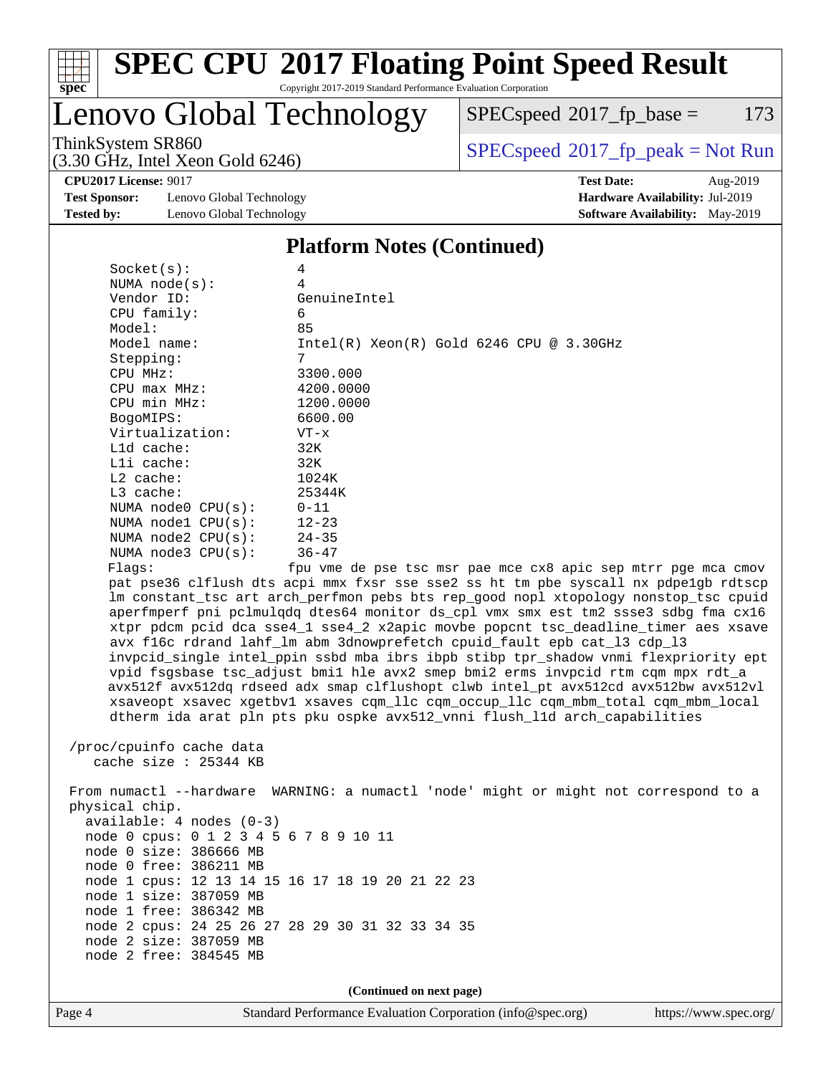

Copyright 2017-2019 Standard Performance Evaluation Corporation

Lenovo Global Technology

 $SPECspeed*2017_fp\_base = 173$  $SPECspeed*2017_fp\_base = 173$ 

ThinkSystem SR860<br>  $(3.30 \text{ GHz}_{\text{1.1}})$  [SPECspeed](http://www.spec.org/auto/cpu2017/Docs/result-fields.html#SPECspeed2017fppeak)®[2017\\_fp\\_peak = N](http://www.spec.org/auto/cpu2017/Docs/result-fields.html#SPECspeed2017fppeak)ot Run

**[CPU2017 License:](http://www.spec.org/auto/cpu2017/Docs/result-fields.html#CPU2017License)** 9017 **[Test Date:](http://www.spec.org/auto/cpu2017/Docs/result-fields.html#TestDate)** Aug-2019

**[Test Sponsor:](http://www.spec.org/auto/cpu2017/Docs/result-fields.html#TestSponsor)** Lenovo Global Technology **[Hardware Availability:](http://www.spec.org/auto/cpu2017/Docs/result-fields.html#HardwareAvailability)** Jul-2019 **[Tested by:](http://www.spec.org/auto/cpu2017/Docs/result-fields.html#Testedby)** Lenovo Global Technology **[Software Availability:](http://www.spec.org/auto/cpu2017/Docs/result-fields.html#SoftwareAvailability)** May-2019

(3.30 GHz, Intel Xeon Gold 6246)

### **[Platform Notes \(Continued\)](http://www.spec.org/auto/cpu2017/Docs/result-fields.html#PlatformNotes)**

| Socket(s):               | 4                                                                                    |
|--------------------------|--------------------------------------------------------------------------------------|
| NUMA $node(s)$ :         | 4                                                                                    |
| Vendor ID:               | GenuineIntel                                                                         |
| CPU family:              | 6                                                                                    |
| Model:                   | 85                                                                                   |
| Model name:              | $Intel(R)$ Xeon $(R)$ Gold 6246 CPU @ 3.30GHz                                        |
| Stepping:                | 7                                                                                    |
| CPU MHz:                 | 3300.000                                                                             |
| $CPU$ $max$ $MHz$ :      | 4200.0000                                                                            |
| CPU min MHz:             | 1200.0000                                                                            |
| BogoMIPS:                | 6600.00                                                                              |
| Virtualization:          | $VT - x$                                                                             |
| Lld cache:               | 32K                                                                                  |
| Lli cache:               | 32K                                                                                  |
| L2 cache:                | 1024K                                                                                |
| L3 cache:                | 25344K                                                                               |
| NUMA $node0$ $CPU(s):$   | $0 - 11$                                                                             |
| NUMA nodel CPU(s):       | $12 - 23$                                                                            |
| NUMA node2 CPU(s):       | $24 - 35$                                                                            |
| NUMA node3 CPU(s):       | $36 - 47$                                                                            |
| Flaqs:                   | fpu vme de pse tsc msr pae mce cx8 apic sep mtrr pqe mca cmov                        |
|                          | pat pse36 clflush dts acpi mmx fxsr sse sse2 ss ht tm pbe syscall nx pdpe1gb rdtscp  |
|                          | Im constant_tsc art arch_perfmon pebs bts rep_good nopl xtopology nonstop_tsc cpuid  |
|                          | aperfmperf pni pclmulqdq dtes64 monitor ds_cpl vmx smx est tm2 ssse3 sdbg fma cx16   |
|                          | xtpr pdcm pcid dca sse4_1 sse4_2 x2apic movbe popcnt tsc_deadline_timer aes xsave    |
|                          | avx f16c rdrand lahf_lm abm 3dnowprefetch cpuid_fault epb cat_13 cdp_13              |
|                          | invpcid_single intel_ppin ssbd mba ibrs ibpb stibp tpr_shadow vnmi flexpriority ept  |
|                          | vpid fsgsbase tsc_adjust bmil hle avx2 smep bmi2 erms invpcid rtm cqm mpx rdt_a      |
|                          | avx512f avx512dq rdseed adx smap clflushopt clwb intel pt avx512cd avx512bw avx512vl |
|                          | xsaveopt xsavec xqetbvl xsaves cqm llc cqm occup llc cqm mbm total cqm mbm local     |
|                          | dtherm ida arat pln pts pku ospke avx512_vnni flush_lld arch_capabilities            |
|                          |                                                                                      |
| /proc/cpuinfo cache data |                                                                                      |
| cache size $: 25344$ KB  |                                                                                      |
|                          |                                                                                      |
|                          | From numactl --hardware WARNING: a numactl 'node' might or might not correspond to a |

 physical chip. available: 4 nodes (0-3) node 0 cpus: 0 1 2 3 4 5 6 7 8 9 10 11 node 0 size: 386666 MB node 0 free: 386211 MB node 1 cpus: 12 13 14 15 16 17 18 19 20 21 22 23 node 1 size: 387059 MB node 1 free: 386342 MB node 2 cpus: 24 25 26 27 28 29 30 31 32 33 34 35 node 2 size: 387059 MB node 2 free: 384545 MB

**(Continued on next page)**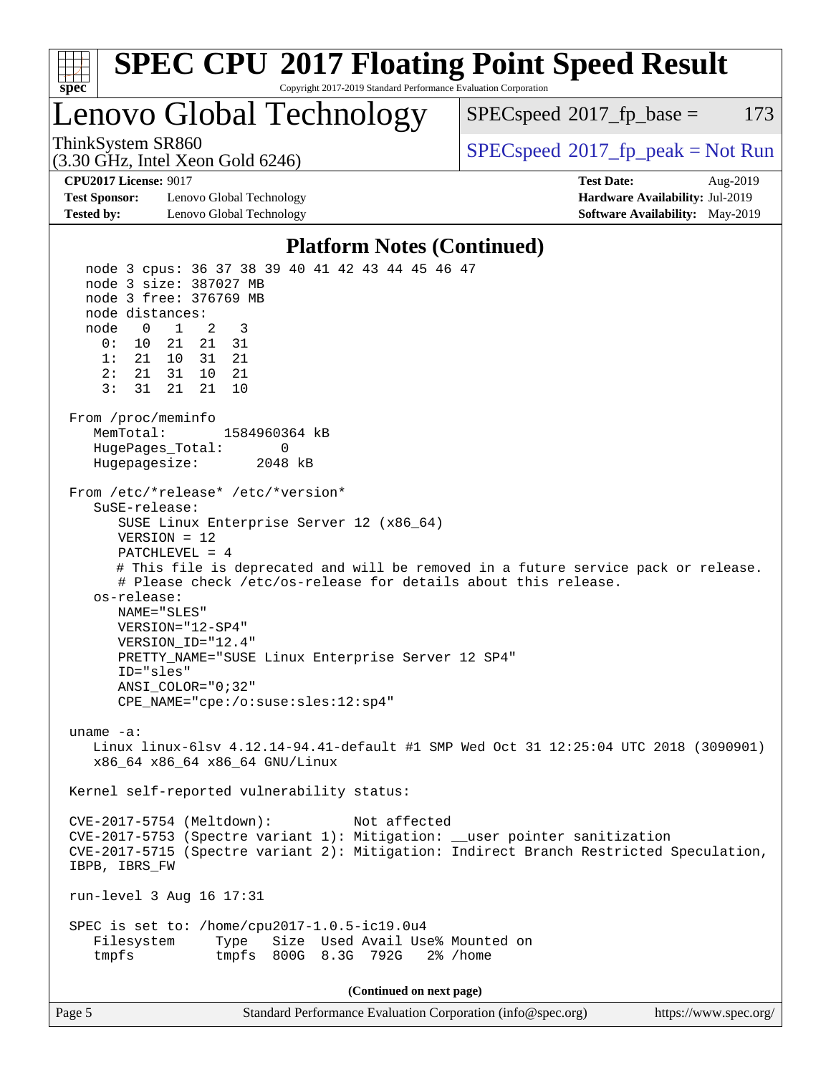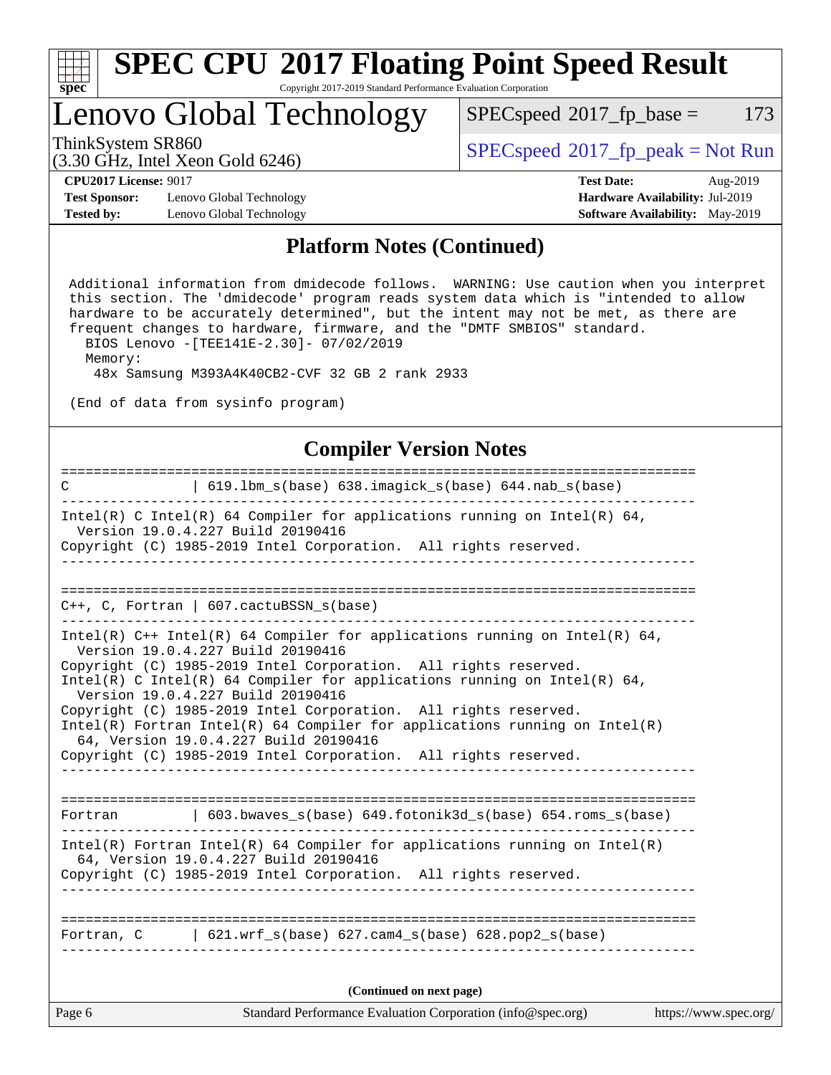

Copyright 2017-2019 Standard Performance Evaluation Corporation

## Lenovo Global Technology

 $SPECspeed^{\circledcirc}2017_fp\_base = 173$  $SPECspeed^{\circledcirc}2017_fp\_base = 173$ 

(3.30 GHz, Intel Xeon Gold 6246)

ThinkSystem SR860<br>  $(3.30 \text{ GHz}_{\text{1.1}})$  [SPECspeed](http://www.spec.org/auto/cpu2017/Docs/result-fields.html#SPECspeed2017fppeak)®[2017\\_fp\\_peak = N](http://www.spec.org/auto/cpu2017/Docs/result-fields.html#SPECspeed2017fppeak)ot Run

**[CPU2017 License:](http://www.spec.org/auto/cpu2017/Docs/result-fields.html#CPU2017License)** 9017 **[Test Date:](http://www.spec.org/auto/cpu2017/Docs/result-fields.html#TestDate)** Aug-2019

**[Test Sponsor:](http://www.spec.org/auto/cpu2017/Docs/result-fields.html#TestSponsor)** Lenovo Global Technology **[Hardware Availability:](http://www.spec.org/auto/cpu2017/Docs/result-fields.html#HardwareAvailability)** Jul-2019 **[Tested by:](http://www.spec.org/auto/cpu2017/Docs/result-fields.html#Testedby)** Lenovo Global Technology **[Software Availability:](http://www.spec.org/auto/cpu2017/Docs/result-fields.html#SoftwareAvailability)** May-2019

### **[Platform Notes \(Continued\)](http://www.spec.org/auto/cpu2017/Docs/result-fields.html#PlatformNotes)**

 Additional information from dmidecode follows. WARNING: Use caution when you interpret this section. The 'dmidecode' program reads system data which is "intended to allow hardware to be accurately determined", but the intent may not be met, as there are frequent changes to hardware, firmware, and the "DMTF SMBIOS" standard. BIOS Lenovo -[TEE141E-2.30]- 07/02/2019

Memory:

48x Samsung M393A4K40CB2-CVF 32 GB 2 rank 2933

(End of data from sysinfo program)

#### **[Compiler Version Notes](http://www.spec.org/auto/cpu2017/Docs/result-fields.html#CompilerVersionNotes)**

| Standard Performance Evaluation Corporation (info@spec.org)<br>Page 6<br>https://www.spec.org/                                                                                           |  |
|------------------------------------------------------------------------------------------------------------------------------------------------------------------------------------------|--|
| (Continued on next page)                                                                                                                                                                 |  |
| Fortran, $C = \begin{bmatrix} 621. wrf_s(base) & 627. cam4_s(base) & 628. pop2_s(base) \end{bmatrix}$                                                                                    |  |
|                                                                                                                                                                                          |  |
| $Intel(R)$ Fortran Intel(R) 64 Compiler for applications running on Intel(R)<br>64, Version 19.0.4.227 Build 20190416<br>Copyright (C) 1985-2019 Intel Corporation. All rights reserved. |  |
| Fortran   603.bwaves_s(base) 649.fotonik3d_s(base) 654.roms_s(base)                                                                                                                      |  |
|                                                                                                                                                                                          |  |
| 64, Version 19.0.4.227 Build 20190416<br>Copyright (C) 1985-2019 Intel Corporation. All rights reserved.                                                                                 |  |
| Copyright (C) 1985-2019 Intel Corporation. All rights reserved.<br>$Intel(R)$ Fortran Intel(R) 64 Compiler for applications running on Intel(R)                                          |  |
| Version 19.0.4.227 Build 20190416                                                                                                                                                        |  |
| Copyright (C) 1985-2019 Intel Corporation. All rights reserved.<br>Intel(R) C Intel(R) 64 Compiler for applications running on Intel(R) 64,                                              |  |
| Intel(R) $C++$ Intel(R) 64 Compiler for applications running on Intel(R) 64,<br>Version 19.0.4.227 Build 20190416                                                                        |  |
| $C_{++}$ , C, Fortran   607.cactuBSSN_s(base)                                                                                                                                            |  |
|                                                                                                                                                                                          |  |
| Copyright (C) 1985-2019 Intel Corporation. All rights reserved.<br>_ _ _ _ _ _ _ _ _ _                                                                                                   |  |
| Intel(R) C Intel(R) 64 Compiler for applications running on Intel(R) 64,<br>Version 19.0.4.227 Build 20190416                                                                            |  |
| 619.1bm_s(base) 638.imagick_s(base) 644.nab_s(base)<br>$\mathbf C$                                                                                                                       |  |
|                                                                                                                                                                                          |  |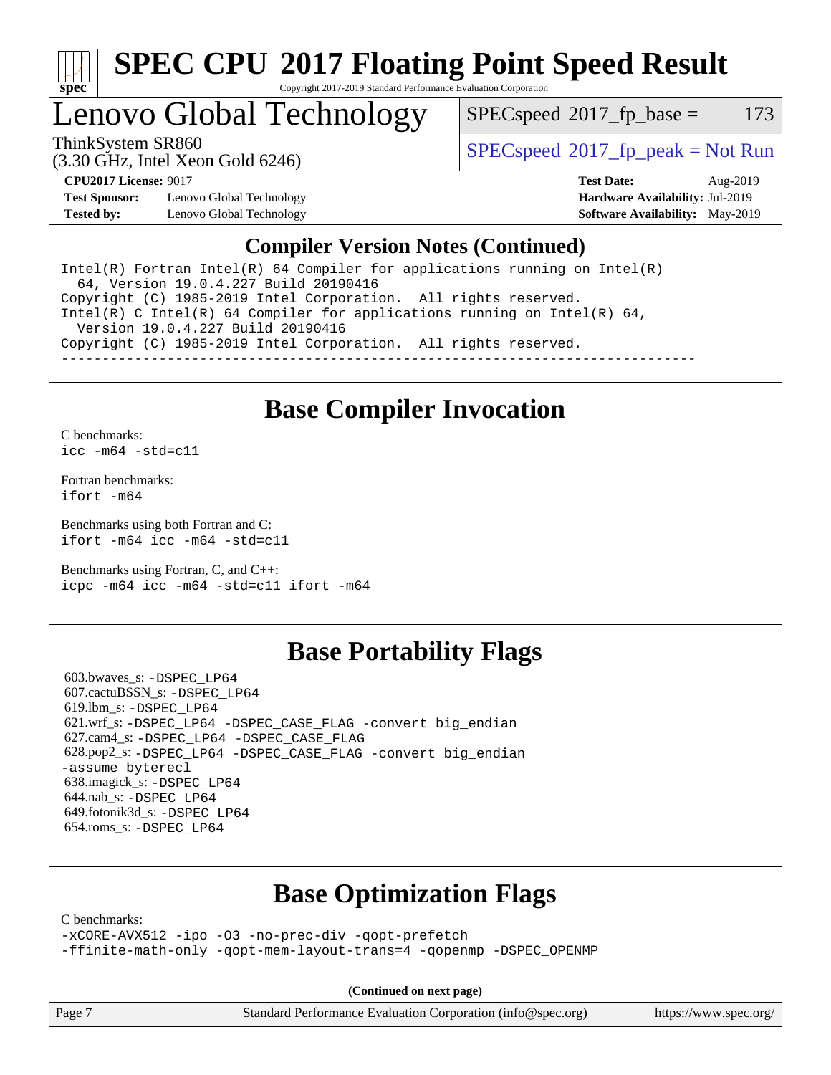

Copyright 2017-2019 Standard Performance Evaluation Corporation

## Lenovo Global Technology

 $SPEC speed^{\circ}2017\_fp\_base = 173$ 

(3.30 GHz, Intel Xeon Gold 6246)

ThinkSystem SR860<br>  $SPECspeed^{\circ}2017<sub>fp</sub> peak = Not Run$  $SPECspeed^{\circ}2017<sub>fp</sub> peak = Not Run$ 

**[Test Sponsor:](http://www.spec.org/auto/cpu2017/Docs/result-fields.html#TestSponsor)** Lenovo Global Technology **[Hardware Availability:](http://www.spec.org/auto/cpu2017/Docs/result-fields.html#HardwareAvailability)** Jul-2019 **[Tested by:](http://www.spec.org/auto/cpu2017/Docs/result-fields.html#Testedby)** Lenovo Global Technology **[Software Availability:](http://www.spec.org/auto/cpu2017/Docs/result-fields.html#SoftwareAvailability)** May-2019

**[CPU2017 License:](http://www.spec.org/auto/cpu2017/Docs/result-fields.html#CPU2017License)** 9017 **[Test Date:](http://www.spec.org/auto/cpu2017/Docs/result-fields.html#TestDate)** Aug-2019

### **[Compiler Version Notes \(Continued\)](http://www.spec.org/auto/cpu2017/Docs/result-fields.html#CompilerVersionNotes)**

Intel(R) Fortran Intel(R)  $64$  Compiler for applications running on Intel(R) 64, Version 19.0.4.227 Build 20190416 Copyright (C) 1985-2019 Intel Corporation. All rights reserved. Intel(R) C Intel(R) 64 Compiler for applications running on Intel(R)  $64$ , Version 19.0.4.227 Build 20190416 Copyright (C) 1985-2019 Intel Corporation. All rights reserved. ------------------------------------------------------------------------------

## **[Base Compiler Invocation](http://www.spec.org/auto/cpu2017/Docs/result-fields.html#BaseCompilerInvocation)**

[C benchmarks](http://www.spec.org/auto/cpu2017/Docs/result-fields.html#Cbenchmarks):

[icc -m64 -std=c11](http://www.spec.org/cpu2017/results/res2019q3/cpu2017-20190902-17489.flags.html#user_CCbase_intel_icc_64bit_c11_33ee0cdaae7deeeab2a9725423ba97205ce30f63b9926c2519791662299b76a0318f32ddfffdc46587804de3178b4f9328c46fa7c2b0cd779d7a61945c91cd35)

[Fortran benchmarks](http://www.spec.org/auto/cpu2017/Docs/result-fields.html#Fortranbenchmarks): [ifort -m64](http://www.spec.org/cpu2017/results/res2019q3/cpu2017-20190902-17489.flags.html#user_FCbase_intel_ifort_64bit_24f2bb282fbaeffd6157abe4f878425411749daecae9a33200eee2bee2fe76f3b89351d69a8130dd5949958ce389cf37ff59a95e7a40d588e8d3a57e0c3fd751)

[Benchmarks using both Fortran and C](http://www.spec.org/auto/cpu2017/Docs/result-fields.html#BenchmarksusingbothFortranandC): [ifort -m64](http://www.spec.org/cpu2017/results/res2019q3/cpu2017-20190902-17489.flags.html#user_CC_FCbase_intel_ifort_64bit_24f2bb282fbaeffd6157abe4f878425411749daecae9a33200eee2bee2fe76f3b89351d69a8130dd5949958ce389cf37ff59a95e7a40d588e8d3a57e0c3fd751) [icc -m64 -std=c11](http://www.spec.org/cpu2017/results/res2019q3/cpu2017-20190902-17489.flags.html#user_CC_FCbase_intel_icc_64bit_c11_33ee0cdaae7deeeab2a9725423ba97205ce30f63b9926c2519791662299b76a0318f32ddfffdc46587804de3178b4f9328c46fa7c2b0cd779d7a61945c91cd35)

[Benchmarks using Fortran, C, and C++:](http://www.spec.org/auto/cpu2017/Docs/result-fields.html#BenchmarksusingFortranCandCXX) [icpc -m64](http://www.spec.org/cpu2017/results/res2019q3/cpu2017-20190902-17489.flags.html#user_CC_CXX_FCbase_intel_icpc_64bit_4ecb2543ae3f1412ef961e0650ca070fec7b7afdcd6ed48761b84423119d1bf6bdf5cad15b44d48e7256388bc77273b966e5eb805aefd121eb22e9299b2ec9d9) [icc -m64 -std=c11](http://www.spec.org/cpu2017/results/res2019q3/cpu2017-20190902-17489.flags.html#user_CC_CXX_FCbase_intel_icc_64bit_c11_33ee0cdaae7deeeab2a9725423ba97205ce30f63b9926c2519791662299b76a0318f32ddfffdc46587804de3178b4f9328c46fa7c2b0cd779d7a61945c91cd35) [ifort -m64](http://www.spec.org/cpu2017/results/res2019q3/cpu2017-20190902-17489.flags.html#user_CC_CXX_FCbase_intel_ifort_64bit_24f2bb282fbaeffd6157abe4f878425411749daecae9a33200eee2bee2fe76f3b89351d69a8130dd5949958ce389cf37ff59a95e7a40d588e8d3a57e0c3fd751)

## **[Base Portability Flags](http://www.spec.org/auto/cpu2017/Docs/result-fields.html#BasePortabilityFlags)**

 603.bwaves\_s: [-DSPEC\\_LP64](http://www.spec.org/cpu2017/results/res2019q3/cpu2017-20190902-17489.flags.html#suite_basePORTABILITY603_bwaves_s_DSPEC_LP64) 607.cactuBSSN\_s: [-DSPEC\\_LP64](http://www.spec.org/cpu2017/results/res2019q3/cpu2017-20190902-17489.flags.html#suite_basePORTABILITY607_cactuBSSN_s_DSPEC_LP64) 619.lbm\_s: [-DSPEC\\_LP64](http://www.spec.org/cpu2017/results/res2019q3/cpu2017-20190902-17489.flags.html#suite_basePORTABILITY619_lbm_s_DSPEC_LP64) 621.wrf\_s: [-DSPEC\\_LP64](http://www.spec.org/cpu2017/results/res2019q3/cpu2017-20190902-17489.flags.html#suite_basePORTABILITY621_wrf_s_DSPEC_LP64) [-DSPEC\\_CASE\\_FLAG](http://www.spec.org/cpu2017/results/res2019q3/cpu2017-20190902-17489.flags.html#b621.wrf_s_baseCPORTABILITY_DSPEC_CASE_FLAG) [-convert big\\_endian](http://www.spec.org/cpu2017/results/res2019q3/cpu2017-20190902-17489.flags.html#user_baseFPORTABILITY621_wrf_s_convert_big_endian_c3194028bc08c63ac5d04de18c48ce6d347e4e562e8892b8bdbdc0214820426deb8554edfa529a3fb25a586e65a3d812c835984020483e7e73212c4d31a38223) 627.cam4\_s: [-DSPEC\\_LP64](http://www.spec.org/cpu2017/results/res2019q3/cpu2017-20190902-17489.flags.html#suite_basePORTABILITY627_cam4_s_DSPEC_LP64) [-DSPEC\\_CASE\\_FLAG](http://www.spec.org/cpu2017/results/res2019q3/cpu2017-20190902-17489.flags.html#b627.cam4_s_baseCPORTABILITY_DSPEC_CASE_FLAG) 628.pop2\_s: [-DSPEC\\_LP64](http://www.spec.org/cpu2017/results/res2019q3/cpu2017-20190902-17489.flags.html#suite_basePORTABILITY628_pop2_s_DSPEC_LP64) [-DSPEC\\_CASE\\_FLAG](http://www.spec.org/cpu2017/results/res2019q3/cpu2017-20190902-17489.flags.html#b628.pop2_s_baseCPORTABILITY_DSPEC_CASE_FLAG) [-convert big\\_endian](http://www.spec.org/cpu2017/results/res2019q3/cpu2017-20190902-17489.flags.html#user_baseFPORTABILITY628_pop2_s_convert_big_endian_c3194028bc08c63ac5d04de18c48ce6d347e4e562e8892b8bdbdc0214820426deb8554edfa529a3fb25a586e65a3d812c835984020483e7e73212c4d31a38223) [-assume byterecl](http://www.spec.org/cpu2017/results/res2019q3/cpu2017-20190902-17489.flags.html#user_baseFPORTABILITY628_pop2_s_assume_byterecl_7e47d18b9513cf18525430bbf0f2177aa9bf368bc7a059c09b2c06a34b53bd3447c950d3f8d6c70e3faf3a05c8557d66a5798b567902e8849adc142926523472) 638.imagick\_s: [-DSPEC\\_LP64](http://www.spec.org/cpu2017/results/res2019q3/cpu2017-20190902-17489.flags.html#suite_basePORTABILITY638_imagick_s_DSPEC_LP64) 644.nab\_s: [-DSPEC\\_LP64](http://www.spec.org/cpu2017/results/res2019q3/cpu2017-20190902-17489.flags.html#suite_basePORTABILITY644_nab_s_DSPEC_LP64) 649.fotonik3d\_s: [-DSPEC\\_LP64](http://www.spec.org/cpu2017/results/res2019q3/cpu2017-20190902-17489.flags.html#suite_basePORTABILITY649_fotonik3d_s_DSPEC_LP64) 654.roms\_s: [-DSPEC\\_LP64](http://www.spec.org/cpu2017/results/res2019q3/cpu2017-20190902-17489.flags.html#suite_basePORTABILITY654_roms_s_DSPEC_LP64)

## **[Base Optimization Flags](http://www.spec.org/auto/cpu2017/Docs/result-fields.html#BaseOptimizationFlags)**

[C benchmarks](http://www.spec.org/auto/cpu2017/Docs/result-fields.html#Cbenchmarks):

[-xCORE-AVX512](http://www.spec.org/cpu2017/results/res2019q3/cpu2017-20190902-17489.flags.html#user_CCbase_f-xCORE-AVX512) [-ipo](http://www.spec.org/cpu2017/results/res2019q3/cpu2017-20190902-17489.flags.html#user_CCbase_f-ipo) [-O3](http://www.spec.org/cpu2017/results/res2019q3/cpu2017-20190902-17489.flags.html#user_CCbase_f-O3) [-no-prec-div](http://www.spec.org/cpu2017/results/res2019q3/cpu2017-20190902-17489.flags.html#user_CCbase_f-no-prec-div) [-qopt-prefetch](http://www.spec.org/cpu2017/results/res2019q3/cpu2017-20190902-17489.flags.html#user_CCbase_f-qopt-prefetch) [-ffinite-math-only](http://www.spec.org/cpu2017/results/res2019q3/cpu2017-20190902-17489.flags.html#user_CCbase_f_finite_math_only_cb91587bd2077682c4b38af759c288ed7c732db004271a9512da14a4f8007909a5f1427ecbf1a0fb78ff2a814402c6114ac565ca162485bbcae155b5e4258871) [-qopt-mem-layout-trans=4](http://www.spec.org/cpu2017/results/res2019q3/cpu2017-20190902-17489.flags.html#user_CCbase_f-qopt-mem-layout-trans_fa39e755916c150a61361b7846f310bcdf6f04e385ef281cadf3647acec3f0ae266d1a1d22d972a7087a248fd4e6ca390a3634700869573d231a252c784941a8) [-qopenmp](http://www.spec.org/cpu2017/results/res2019q3/cpu2017-20190902-17489.flags.html#user_CCbase_qopenmp_16be0c44f24f464004c6784a7acb94aca937f053568ce72f94b139a11c7c168634a55f6653758ddd83bcf7b8463e8028bb0b48b77bcddc6b78d5d95bb1df2967) [-DSPEC\\_OPENMP](http://www.spec.org/cpu2017/results/res2019q3/cpu2017-20190902-17489.flags.html#suite_CCbase_DSPEC_OPENMP)

**(Continued on next page)**

Page 7 Standard Performance Evaluation Corporation [\(info@spec.org\)](mailto:info@spec.org) <https://www.spec.org/>